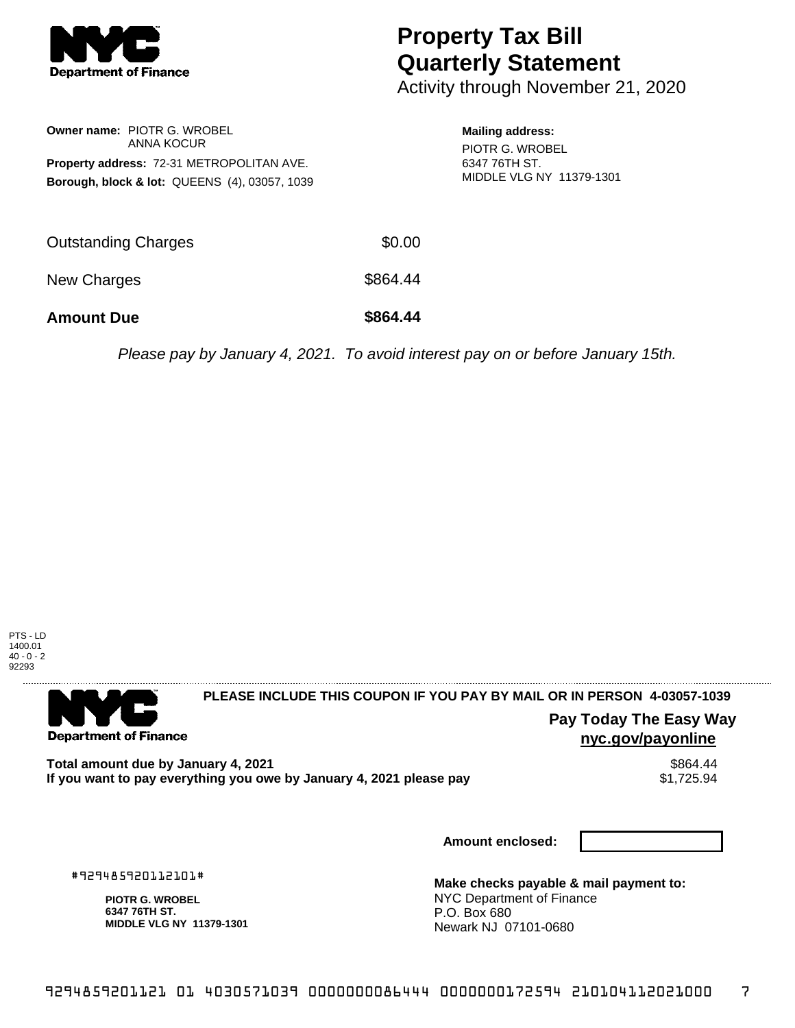

## **Property Tax Bill Quarterly Statement**

Activity through November 21, 2020

|                                                  | <b>Owner name: PIOTR G. WROBEL</b><br>ANNA KOCUR         |  |  |  |  |
|--------------------------------------------------|----------------------------------------------------------|--|--|--|--|
| <b>Property address: 72-31 METROPOLITAN AVE.</b> |                                                          |  |  |  |  |
|                                                  | <b>Borough, block &amp; lot: QUEENS (4), 03057, 1039</b> |  |  |  |  |

**Mailing address:** PIOTR G. WROBEL

6347 76TH ST. MIDDLE VLG NY 11379-1301

| <b>Amount Due</b>   | \$864.44 |
|---------------------|----------|
| New Charges         | \$864.44 |
| Outstanding Charges | \$0.00   |

Please pay by January 4, 2021. To avoid interest pay on or before January 15th.



. . . . . . . . . . . . . . . .

**Department of Finance** 

**PLEASE INCLUDE THIS COUPON IF YOU PAY BY MAIL OR IN PERSON 4-03057-1039** 

**Pay Today The Easy Way nyc.gov/payonline**

Total amount due by January 4, 2021<br>If you want to pay everything you owe by January 4, 2021 please pay **ship in the Superior Audio State** S1,725.94 If you want to pay everything you owe by January 4, 2021 please pay

**Amount enclosed:**

#929485920112101#

**PIOTR G. WROBEL 6347 76TH ST. MIDDLE VLG NY 11379-1301**

**Make checks payable & mail payment to:** NYC Department of Finance P.O. Box 680 Newark NJ 07101-0680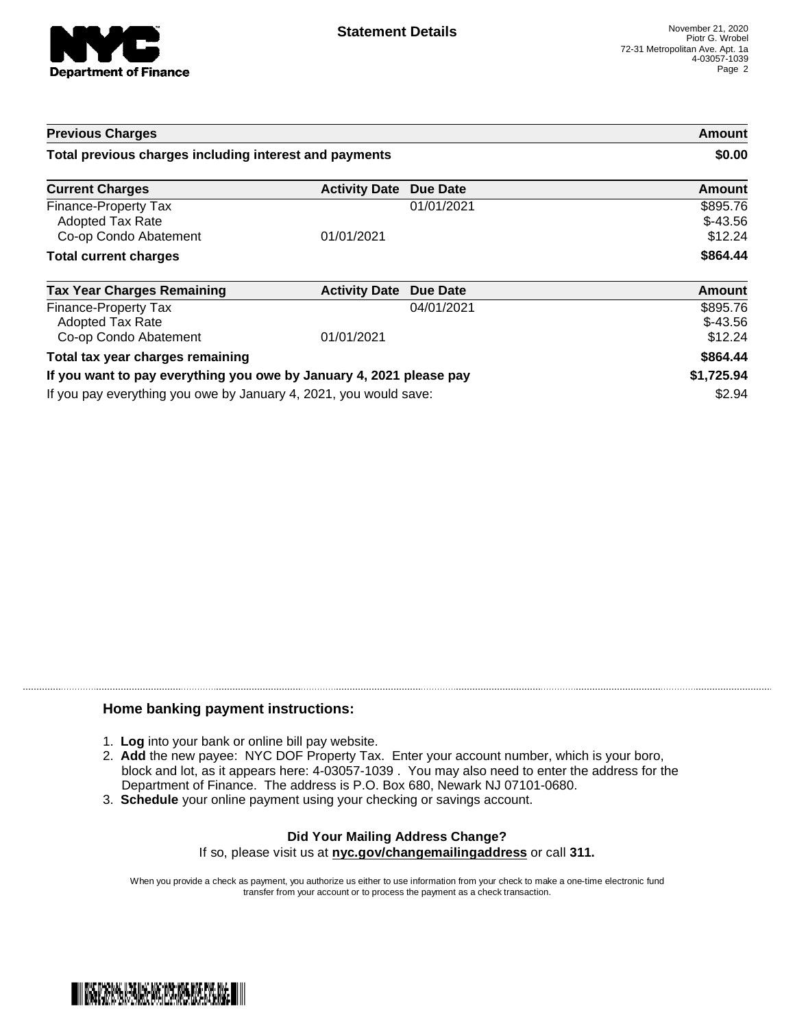

| <b>Previous Charges</b><br>Total previous charges including interest and payments |                      |            | Amount<br>\$0.00                 |
|-----------------------------------------------------------------------------------|----------------------|------------|----------------------------------|
|                                                                                   |                      |            |                                  |
| Finance-Property Tax<br><b>Adopted Tax Rate</b><br>Co-op Condo Abatement          | 01/01/2021           | 01/01/2021 | \$895.76<br>$$-43.56$<br>\$12.24 |
| <b>Total current charges</b>                                                      |                      |            | \$864.44                         |
| <b>Tax Year Charges Remaining</b>                                                 | <b>Activity Date</b> | Due Date   | <b>Amount</b>                    |
| Finance-Property Tax<br><b>Adopted Tax Rate</b><br>Co-op Condo Abatement          | 01/01/2021           | 04/01/2021 | \$895.76<br>$$-43.56$<br>\$12.24 |
| Total tax year charges remaining                                                  |                      |            | \$864.44                         |
| If you want to pay everything you owe by January 4, 2021 please pay               |                      |            | \$1,725.94                       |
| If you pay everything you owe by January 4, 2021, you would save:                 |                      |            | \$2.94                           |

## **Home banking payment instructions:**

- 1. **Log** into your bank or online bill pay website.
- 2. **Add** the new payee: NYC DOF Property Tax. Enter your account number, which is your boro, block and lot, as it appears here: 4-03057-1039 . You may also need to enter the address for the Department of Finance. The address is P.O. Box 680, Newark NJ 07101-0680.
- 3. **Schedule** your online payment using your checking or savings account.

## **Did Your Mailing Address Change?** If so, please visit us at **nyc.gov/changemailingaddress** or call **311.**

When you provide a check as payment, you authorize us either to use information from your check to make a one-time electronic fund transfer from your account or to process the payment as a check transaction.